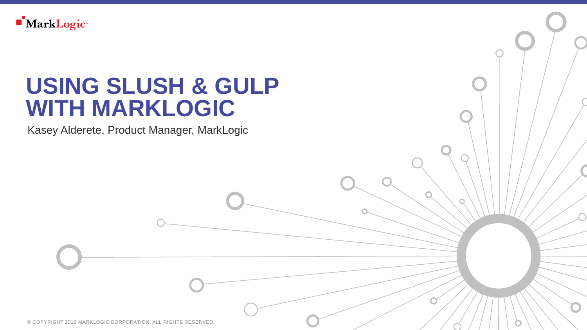

### **USING SLUSH & GULP WITH MARKLOGIC**

Kasey Alderete, Product Manager, MarkLogic

© COPYRIGHT 2016 MARKLOGIC CORPORATION. ALL RIGHTS RESERVED.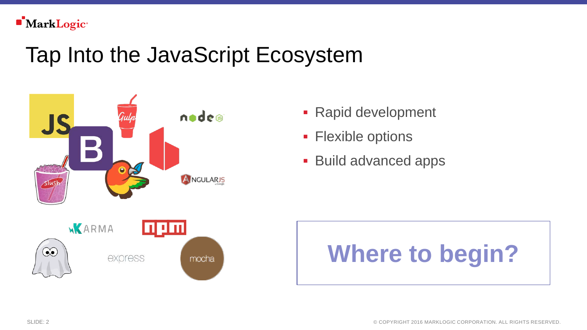## Tap Into the JavaScript Ecosystem



- Rapid development
- **Flexible options**
- **Build advanced apps**



# **Where to begin?**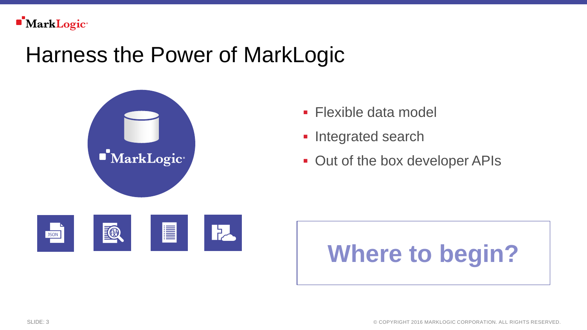

### Harness the Power of MarkLogic



- **Flexible data model**
- **Integrated search**
- **Out of the box developer APIs**



# **Where to begin?**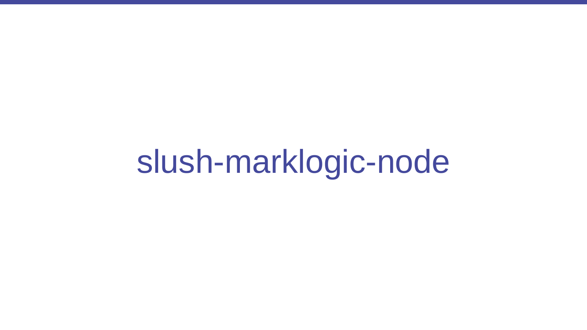slush-marklogic-node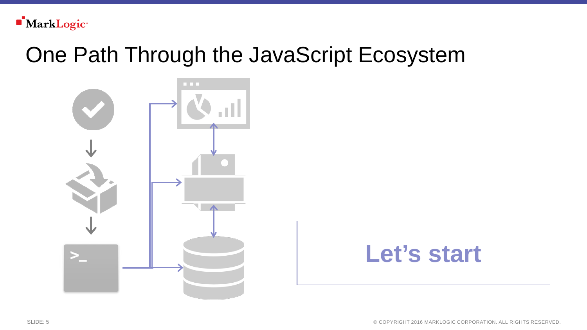

### One Path Through the JavaScript Ecosystem





SLIDE: 5 © COPYRIGHT 2016 MARKLOGIC CORPORATION. ALL RIGHTS RESERVED.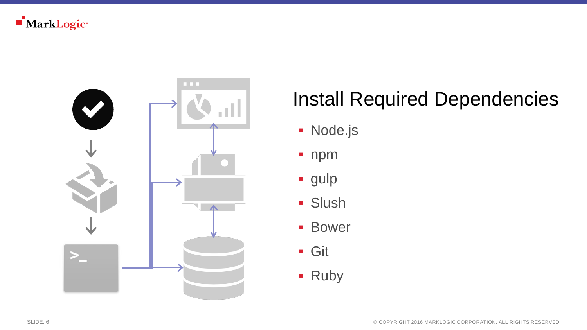

#### Install Required Dependencies

- **Node.js**
- **npm**
- **gulp**
- **Slush**
- **Bower**
- Git
- **Ruby**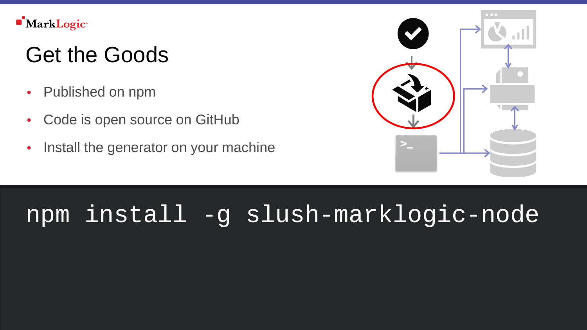

# Get the Goods

- Published on npm
- Code is open source on GitHub
- Install the generator on your machine



### npm install -g slush-marklogic-node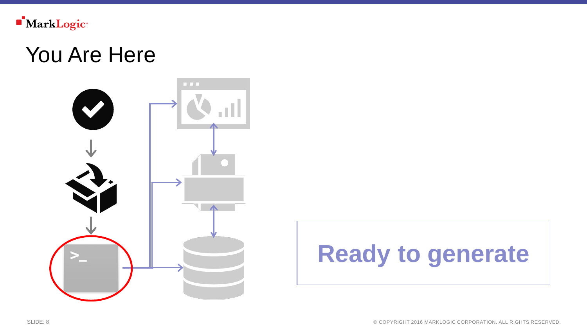

#### You Are Here



# **Ready to generate**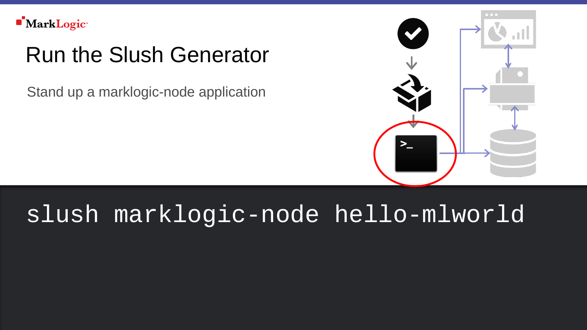# Run the Slush Generator

Stand up a marklogic-node application



### slush marklogic-node hello-mlworld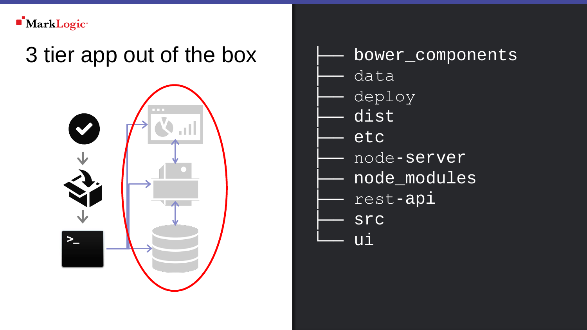# 3 tier app out of the box



- bower\_components
- data
- deploy
- dist
- etc
	- node-server
- node\_modules
- rest-api
- **STC**
- ui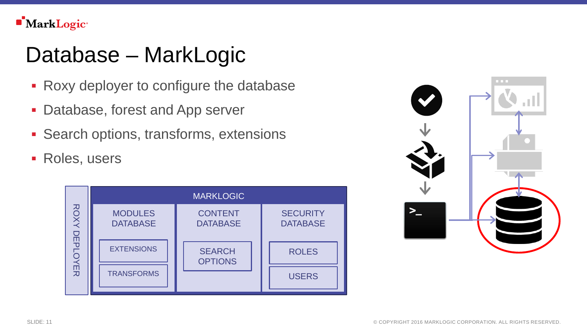**MarkLogic**<sup>®</sup>

## Database – MarkLogic

- Roxy deployer to configure the database
- **Database, forest and App server**
- **Search options, transforms, extensions**
- **Roles, users**



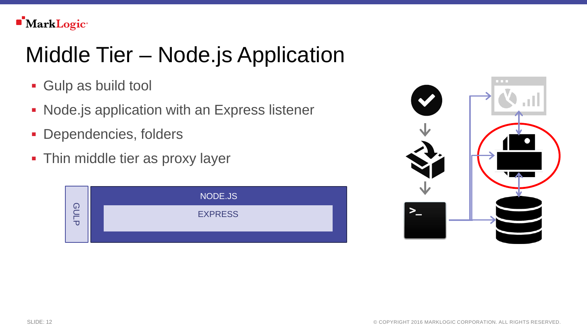# Middle Tier – Node.js Application

- Gulp as build tool
- **Node.js application with an Express listener**
- **Dependencies, folders**
- **Thin middle tier as proxy layer**



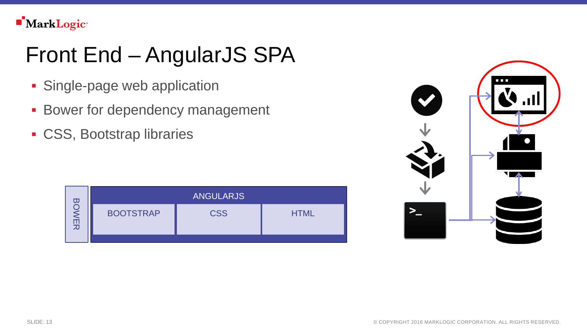# Front End – AngularJS SPA

- **Single-page web application**
- **Bower for dependency management**
- CSS, Bootstrap libraries

|             | <b>ANGULARJS</b> |            |             |
|-------------|------------------|------------|-------------|
| $\leq$<br>고 | <b>BOOTSTRAP</b> | <b>CSS</b> | <b>HTML</b> |

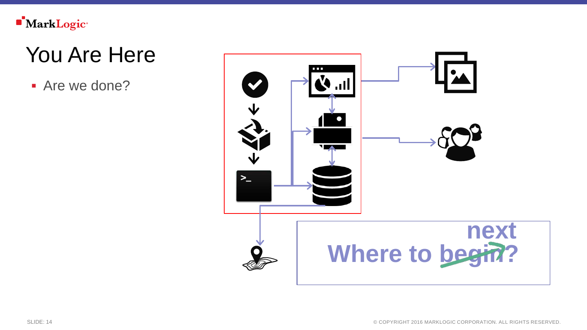

## You Are Here

**Are we done?**